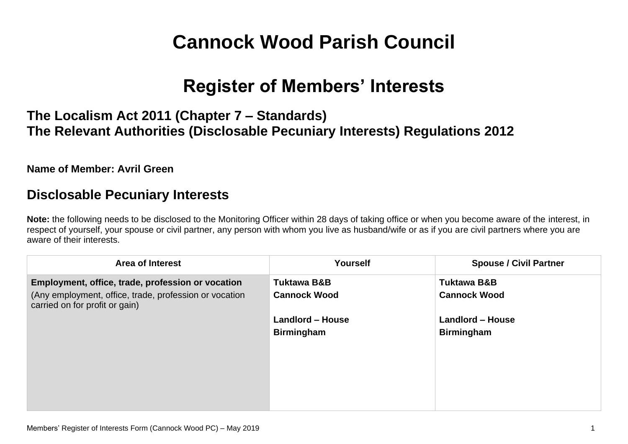# **Cannock Wood Parish Council**

## **Register of Members' Interests**

### **The Localism Act 2011 (Chapter 7 – Standards) The Relevant Authorities (Disclosable Pecuniary Interests) Regulations 2012**

**Name of Member: Avril Green**

#### **Disclosable Pecuniary Interests**

**Note:** the following needs to be disclosed to the Monitoring Officer within 28 days of taking office or when you become aware of the interest, in respect of yourself, your spouse or civil partner, any person with whom you live as husband/wife or as if you are civil partners where you are aware of their interests.

| <b>Area of Interest</b>                                                                  | Yourself                | <b>Spouse / Civil Partner</b> |
|------------------------------------------------------------------------------------------|-------------------------|-------------------------------|
| Employment, office, trade, profession or vocation                                        | <b>Tuktawa B&amp;B</b>  | <b>Tuktawa B&amp;B</b>        |
| (Any employment, office, trade, profession or vocation<br>carried on for profit or gain) | <b>Cannock Wood</b>     | <b>Cannock Wood</b>           |
|                                                                                          | <b>Landlord - House</b> | <b>Landlord - House</b>       |
|                                                                                          | <b>Birmingham</b>       | <b>Birmingham</b>             |
|                                                                                          |                         |                               |
|                                                                                          |                         |                               |
|                                                                                          |                         |                               |
|                                                                                          |                         |                               |
|                                                                                          |                         |                               |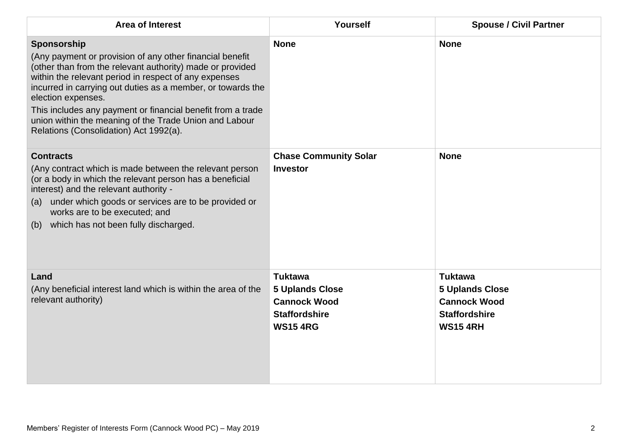| <b>Area of Interest</b>                                                                                                                                                                                                                                                                                                                                                                                                                               | Yourself                                                                                                   | <b>Spouse / Civil Partner</b>                                                                              |
|-------------------------------------------------------------------------------------------------------------------------------------------------------------------------------------------------------------------------------------------------------------------------------------------------------------------------------------------------------------------------------------------------------------------------------------------------------|------------------------------------------------------------------------------------------------------------|------------------------------------------------------------------------------------------------------------|
| Sponsorship<br>(Any payment or provision of any other financial benefit<br>(other than from the relevant authority) made or provided<br>within the relevant period in respect of any expenses<br>incurred in carrying out duties as a member, or towards the<br>election expenses.<br>This includes any payment or financial benefit from a trade<br>union within the meaning of the Trade Union and Labour<br>Relations (Consolidation) Act 1992(a). | <b>None</b>                                                                                                | <b>None</b>                                                                                                |
| <b>Contracts</b><br>(Any contract which is made between the relevant person<br>(or a body in which the relevant person has a beneficial<br>interest) and the relevant authority -<br>(a) under which goods or services are to be provided or<br>works are to be executed; and<br>which has not been fully discharged.<br>(b)                                                                                                                          | <b>Chase Community Solar</b><br><b>Investor</b>                                                            | <b>None</b>                                                                                                |
| Land<br>(Any beneficial interest land which is within the area of the<br>relevant authority)                                                                                                                                                                                                                                                                                                                                                          | <b>Tuktawa</b><br><b>5 Uplands Close</b><br><b>Cannock Wood</b><br><b>Staffordshire</b><br><b>WS15 4RG</b> | <b>Tuktawa</b><br><b>5 Uplands Close</b><br><b>Cannock Wood</b><br><b>Staffordshire</b><br><b>WS15 4RH</b> |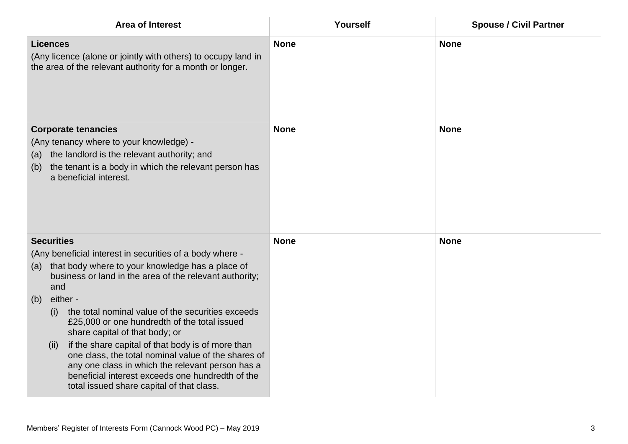| <b>Area of Interest</b>                                                                                                                                                                                                                                                                                                                                                                                                                                                                                                                                                                                                                              | Yourself    | <b>Spouse / Civil Partner</b> |
|------------------------------------------------------------------------------------------------------------------------------------------------------------------------------------------------------------------------------------------------------------------------------------------------------------------------------------------------------------------------------------------------------------------------------------------------------------------------------------------------------------------------------------------------------------------------------------------------------------------------------------------------------|-------------|-------------------------------|
| <b>Licences</b><br>(Any licence (alone or jointly with others) to occupy land in<br>the area of the relevant authority for a month or longer.                                                                                                                                                                                                                                                                                                                                                                                                                                                                                                        | <b>None</b> | <b>None</b>                   |
| <b>Corporate tenancies</b><br>(Any tenancy where to your knowledge) -<br>the landlord is the relevant authority; and<br>(a)<br>the tenant is a body in which the relevant person has<br>(b)<br>a beneficial interest.                                                                                                                                                                                                                                                                                                                                                                                                                                | <b>None</b> | <b>None</b>                   |
| <b>Securities</b><br>(Any beneficial interest in securities of a body where -<br>that body where to your knowledge has a place of<br>(a)<br>business or land in the area of the relevant authority;<br>and<br>either -<br>(b)<br>the total nominal value of the securities exceeds<br>(i)<br>£25,000 or one hundredth of the total issued<br>share capital of that body; or<br>if the share capital of that body is of more than<br>(ii)<br>one class, the total nominal value of the shares of<br>any one class in which the relevant person has a<br>beneficial interest exceeds one hundredth of the<br>total issued share capital of that class. | <b>None</b> | <b>None</b>                   |